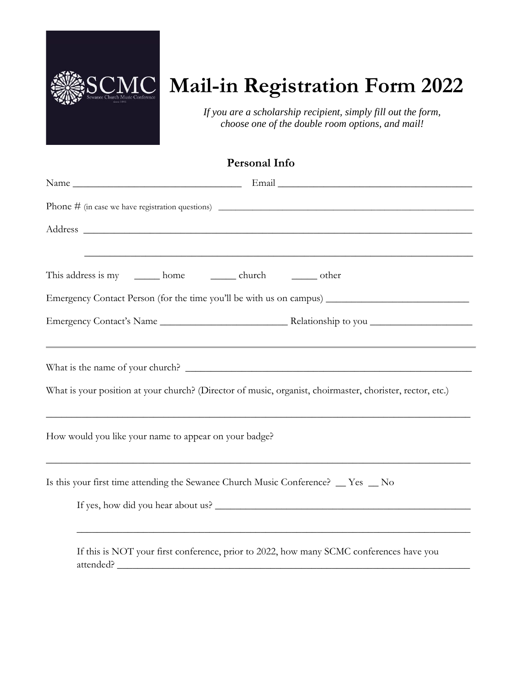

# **MC** Mail-in Registration Form 2022

*If you are a scholarship recipient, simply fill out the form, choose one of the double room options, and mail!*

| Phone $\#$ (in case we have registration questions)                                                                                                                                            |
|------------------------------------------------------------------------------------------------------------------------------------------------------------------------------------------------|
| ,我们也不能在这里的时候,我们也不能在这里的时候,我们也不能会在这里的时候,我们也不能会在这里的时候,我们也不能会在这里的时候,我们也不能会在这里的时候,我们也不                                                                                                              |
| This address is my _______ home _________ church ________ other                                                                                                                                |
|                                                                                                                                                                                                |
|                                                                                                                                                                                                |
| ,我们也不能会有什么。""我们的人,我们也不能会有什么?""我们的人,我们也不能会有什么?""我们的人,我们也不能会有什么?""我们的人,我们也不能会有什么?""<br>What is your position at your church? (Director of music, organist, choirmaster, chorister, rector, etc.) |
| How would you like your name to appear on your badge?                                                                                                                                          |
| Is this your first time attending the Sewanee Church Music Conference? _ Yes _ No<br>If yes, how did you hear about us?                                                                        |
| If this is NOT your first conference, prior to 2022, how many SCMC conferences have you                                                                                                        |